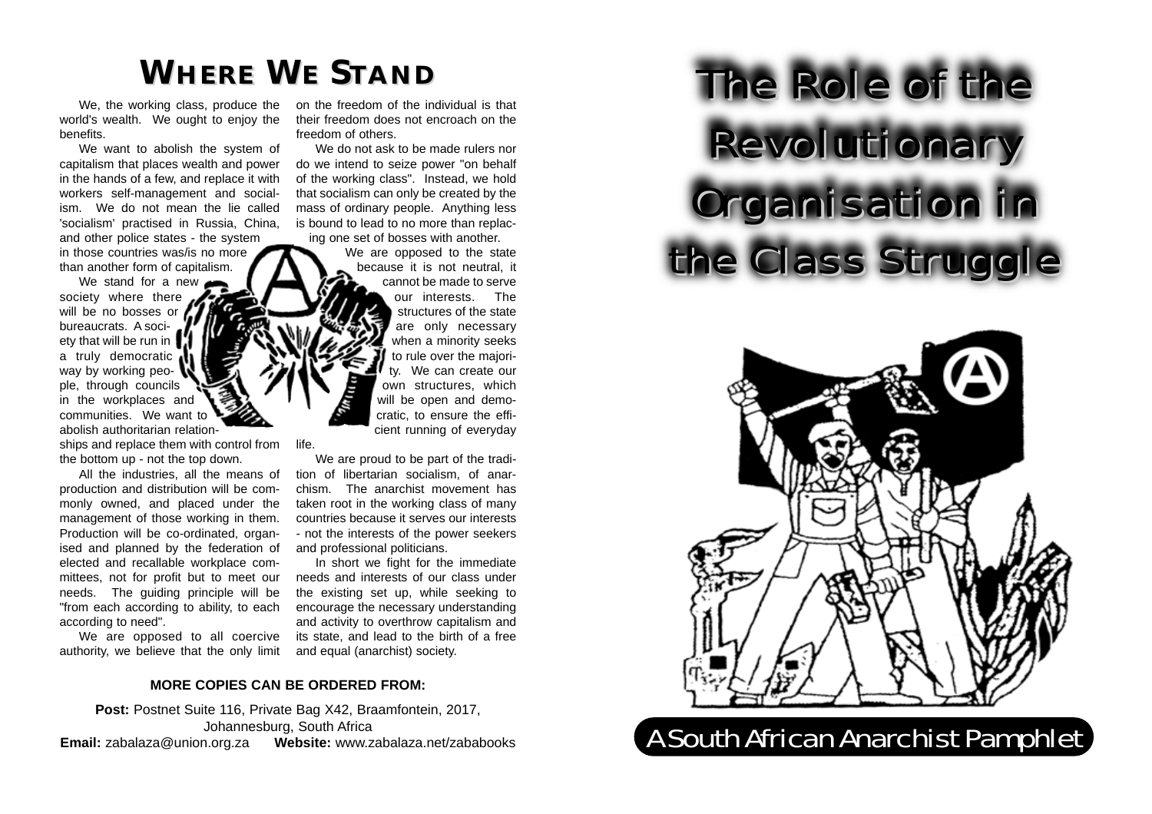## **WHERE WE STAND**

We, the working class, produce the world's wealth. We ought to enjoy the **benefits** 

We want to abolish the system of capitalism that places wealth and power in the hands of a few, and replace it with workers self-management and socialism. We do not mean the lie called 'socialism' practised in Russia, China, and other police states - the system in those countries was/is no more than another form of capitalism.

We stand for a new society where there will be no bosses or bureaucrats. A society that will be run in a truly democratic **a** way by working people, through councils in the workplaces and communities. We want to abolish authoritarian relation-

ships and replace them with control from the bottom up - not the top down.

All the industries, all the means of production and distribution will be commonly owned, and placed under the management of those working in them. Production will be co-ordinated, organised and planned by the federation of elected and recallable workplace committees, not for profit but to meet our needs. The guiding principle will be "from each according to ability, to each according to need".

We are opposed to all coercive authority, we believe that the only limit on the freedom of the individual is that their freedom does not encroach on the freedom of others.

We do not ask to be made rulers nor do we intend to seize power "on behalf of the working class". Instead, we hold that socialism can only be created by the mass of ordinary people. Anything less is bound to lead to no more than replacing one set of bosses with another.

> We are opposed to the state because it is not neutral, it

> > cannot be made to serve our interests. The structures of the state are only necessary when a minority seeks to rule over the majority. We can create our own structures, which will be open and democratic, to ensure the efficient running of everyday

life.

We are proud to be part of the tradition of libertarian socialism, of anarchism. The anarchist movement has taken root in the working class of many countries because it serves our interests - not the interests of the power seekers and professional politicians.

In short we fight for the immediate needs and interests of our class under the existing set up, while seeking to encourage the necessary understanding and activity to overthrow capitalism and its state, and lead to the birth of a free and equal (anarchist) society.

### **MORE COPIES CAN BE ORDERED FROM:**

**Post:** Postnet Suite 116, Private Bag X42, Braamfontein, 2017, Johannesburg, South Africa **Email:** zabalaza@union.org.za **Website:** www.zabalaza.net/zababooks

# The Role of the Revolutionary Organisation in the Class Struggle

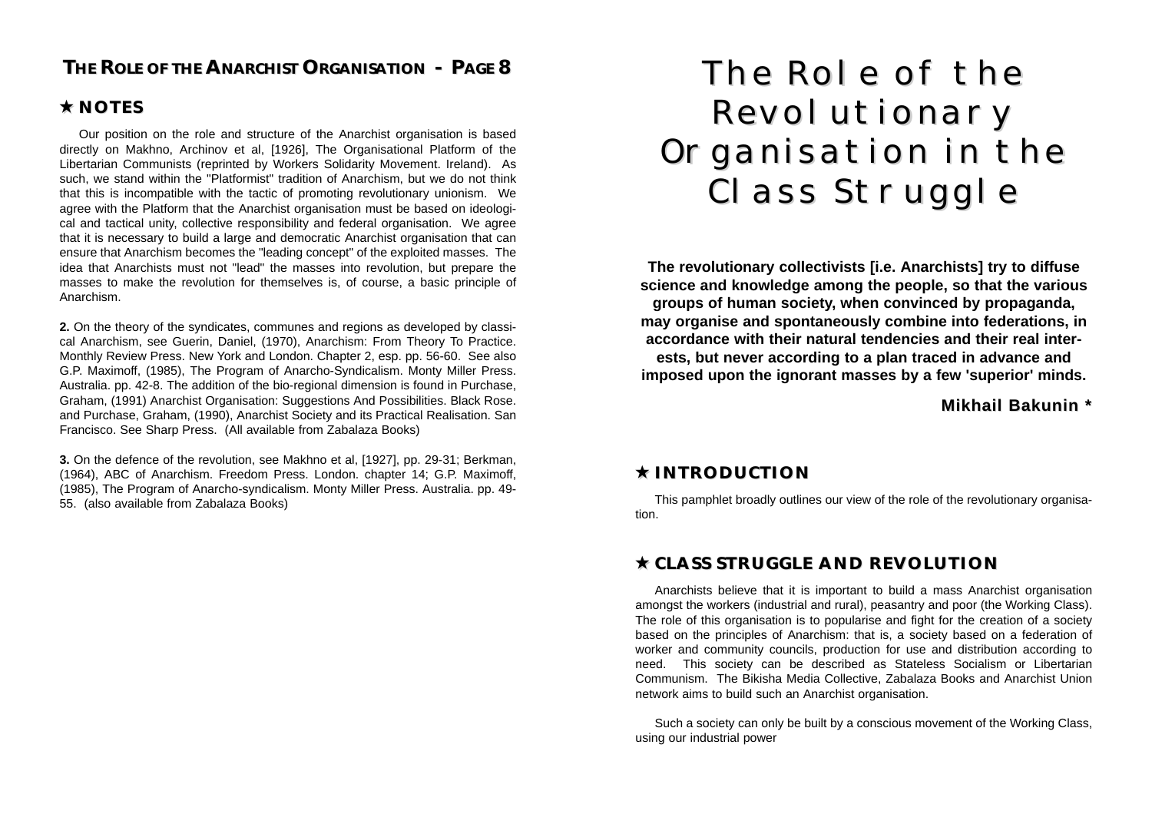### **THE ROLE OF THE ANARCHIST NARCHIST ORGANISATION - PAGE 8**

### ! **NOTES**

Our position on the role and structure of the Anarchist organisation is based directly on Makhno, Archinov et al, [1926], The Organisational Platform of the Libertarian Communists (reprinted by Workers Solidarity Movement. Ireland). As such, we stand within the "Platformist" tradition of Anarchism, but we do not think that this is incompatible with the tactic of promoting revolutionary unionism. We agree with the Platform that the Anarchist organisation must be based on ideological and tactical unity, collective responsibility and federal organisation. We agree that it is necessary to build a large and democratic Anarchist organisation that can ensure that Anarchism becomes the "leading concept" of the exploited masses. The idea that Anarchists must not "lead" the masses into revolution, but prepare the masses to make the revolution for themselves is, of course, a basic principle of Anarchism.

**2.** On the theory of the syndicates, communes and regions as developed by classical Anarchism, see Guerin, Daniel, (1970), Anarchism: From Theory To Practice. Monthly Review Press. New York and London. Chapter 2, esp. pp. 56-60. See also G.P. Maximoff, (1985), The Program of Anarcho-Syndicalism. Monty Miller Press. Australia. pp. 42-8. The addition of the bio-regional dimension is found in Purchase, Graham, (1991) Anarchist Organisation: Suggestions And Possibilities. Black Rose. and Purchase, Graham, (1990), Anarchist Society and its Practical Realisation. San Francisco. See Sharp Press. (All available from Zabalaza Books)

**3.** On the defence of the revolution, see Makhno et al, [1927], pp. 29-31; Berkman, (1964), ABC of Anarchism. Freedom Press. London. chapter 14; G.P. Maximoff, (1985), The Program of Anarcho-syndicalism. Monty Miller Press. Australia. pp. 49- 55. (also available from Zabalaza Books)

# The Role of the Revolutionary Organisation in the Class Struggle

**The revolutionary collectivists [i.e. Anarchists] try to diffuse science and knowledge among the people, so that the various groups of human society, when convinced by propaganda, may organise and spontaneously combine into federations, in accordance with their natural tendencies and their real interests, but never according to a plan traced in advance and imposed upon the ignorant masses by a few 'superior' minds.**

**Mikhail Bakunin \* Mikhail Bakunin \***

### ! **INTRODUCTION**

This pamphlet broadly outlines our view of the role of the revolutionary organisation.

### ! **CLASS STRUGGLE AND REVOLUTION**

Anarchists believe that it is important to build a mass Anarchist organisation amongst the workers (industrial and rural), peasantry and poor (the Working Class). The role of this organisation is to popularise and fight for the creation of a society based on the principles of Anarchism: that is, a society based on a federation of worker and community councils, production for use and distribution according to need. This society can be described as Stateless Socialism or Libertarian Communism. The Bikisha Media Collective, Zabalaza Books and Anarchist Union network aims to build such an Anarchist organisation.

Such a society can only be built by a conscious movement of the Working Class, using our industrial power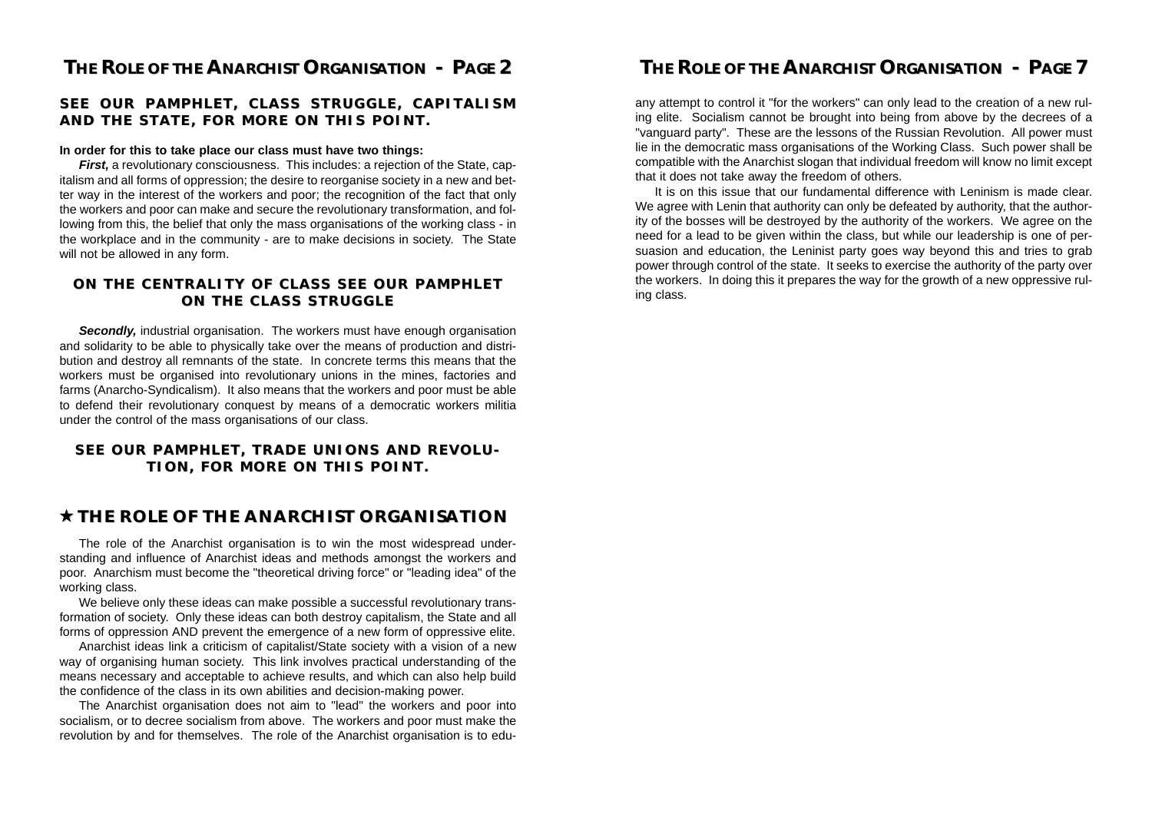### **THE ROLE OF THE ANARCHIST NARCHIST ORGANISATION - PAGE 2**

### **SEE OUR PAMPHLET, SEE OUR PAMPHLET,** *CLASS STRUGGLE, CAPITALISM AND THE STATE***, FOR MORE ON THIS POINT. , FOR MORE ON THIS POINT.**

### **In order for this to take place our class must have two things:**

*First.* a revolutionary consciousness. This includes: a rejection of the State, capitalism and all forms of oppression; the desire to reorganise society in a new and better way in the interest of the workers and poor; the recognition of the fact that only the workers and poor can make and secure the revolutionary transformation, and following from this, the belief that only the mass organisations of the working class - in the workplace and in the community - are to make decisions in society. The State will not be allowed in any form.

### **ON THE CENTRALITY OF CLASS SEE OUR PAMPHLET ON THE CLASS STRUGGLE**

**Secondly,** industrial organisation. The workers must have enough organisation and solidarity to be able to physically take over the means of production and distribution and destroy all remnants of the state. In concrete terms this means that the workers must be organised into revolutionary unions in the mines, factories and farms (Anarcho-Syndicalism). It also means that the workers and poor must be able to defend their revolutionary conquest by means of a democratic workers militia under the control of the mass organisations of our class.

### SEE OUR PAMPHLET, TRADE UNIONS AND REVOLU-*TION***, FOR MORE ON THIS POINT. , FOR MORE POINT.**

### ! **THE ROLE OF THE ANARCHIST ORGANISATION**

The role of the Anarchist organisation is to win the most widespread understanding and influence of Anarchist ideas and methods amongst the workers and poor. Anarchism must become the "theoretical driving force" or "leading idea" of the working class.

We believe only these ideas can make possible a successful revolutionary transformation of society. Only these ideas can both destroy capitalism, the State and all forms of oppression AND prevent the emergence of a new form of oppressive elite.

Anarchist ideas link a criticism of capitalist/State society with a vision of a new way of organising human society. This link involves practical understanding of the means necessary and acceptable to achieve results, and which can also help build the confidence of the class in its own abilities and decision-making power.

The Anarchist organisation does not aim to "lead" the workers and poor into socialism, or to decree socialism from above. The workers and poor must make the revolution by and for themselves. The role of the Anarchist organisation is to edu-

any attempt to control it "for the workers" can only lead to the creation of a new rul ing elite. Socialism cannot be brought into being from above by the decrees of a "vanguard party". These are the lessons of the Russian Revolution. All power must lie in the democratic mass organisations of the Working Class. Such power shall be compatible with the Anarchist slogan that individual freedom will know no limit except that it does not take away the freedom of others.

It is on this issue that our fundamental difference with Leninism is made clear. We agree with Lenin that authority can only be defeated by authority, that the authority of the bosses will be destroyed by the authority of the workers. We agree on the need for a lead to be given within the class, but while our leadership is one of per suasion and education, the Leninist party goes way beyond this and tries to grab power through control of the state. It seeks to exercise the authority of the party over the workers. In doing this it prepares the way for the growth of a new oppressive rul- **THE ROLE OF THE ANARCHIST ORGANISATION - PAGE 7** any attempt to control it "for the workers" can only lead to the creation of a new rul ing elite. Socialism cannot be brought into being from above by the decrees of ivangu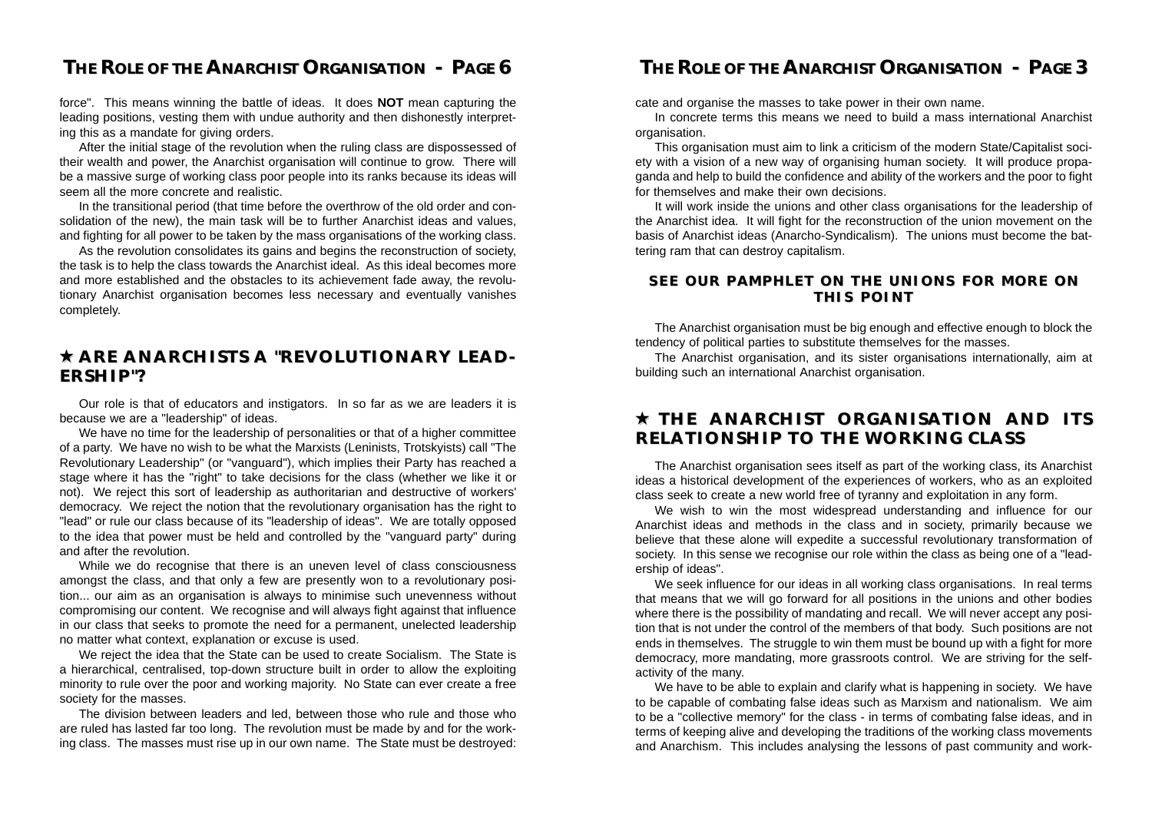### **THE ROLE OF THE ANARCHIST NARCHIST ORGANISATION - PAGE 6**

force". This means winning the battle of ideas. It does **NOT** mean capturing the leading positions, vesting them with undue authority and then dishonestly interpreting this as a mandate for giving orders.

After the initial stage of the revolution when the ruling class are dispossessed of their wealth and power, the Anarchist organisation will continue to grow. There will be a massive surge of working class poor people into its ranks because its ideas will seem all the more concrete and realistic.

In the transitional period (that time before the overthrow of the old order and consolidation of the new), the main task will be to further Anarchist ideas and values, and fighting for all power to be taken by the mass organisations of the working class.

As the revolution consolidates its gains and begins the reconstruction of society, the task is to help the class towards the Anarchist ideal. As this ideal becomes more and more established and the obstacles to its achievement fade away, the revolutionary Anarchist organisation becomes less necessary and eventually vanishes completely.

### $\star$  **ARE ANARCHISTS A "REVOLUTIONARY LEAD-ERSHIP"? ERSHIP"?**

Our role is that of educators and instigators. In so far as we are leaders it is because we are a "leadership" of ideas.

We have no time for the leadership of personalities or that of a higher committee of a party. We have no wish to be what the Marxists (Leninists, Trotskyists) call "The Revolutionary Leadership" (or "vanguard"), which implies their Party has reached a stage where it has the "right" to take decisions for the class (whether we like it or not). We reject this sort of leadership as authoritarian and destructive of workers' democracy. We reject the notion that the revolutionary organisation has the right to "lead" or rule our class because of its "leadership of ideas". We are totally opposed to the idea that power must be held and controlled by the "vanguard party" during and after the revolution.

While we do recognise that there is an uneven level of class consciousness amongst the class, and that only a few are presently won to a revolutionary position... our aim as an organisation is always to minimise such unevenness without compromising our content. We recognise and will always fight against that influence in our class that seeks to promote the need for a permanent, unelected leadership no matter what context, explanation or excuse is used.

We reject the idea that the State can be used to create Socialism. The State is a hierarchical, centralised, top-down structure built in order to allow the exploiting minority to rule over the poor and working majority. No State can ever create a free society for the masses.

The division between leaders and led, between those who rule and those who are ruled has lasted far too long. The revolution must be made by and for the working class. The masses must rise up in our own name. The State must be destroyed:

### **THE ROLE OF THE ANARCHIST NARCHIST ORGANISATION - PAGE 3**

cate and organise the masses to take power in their own name.

In concrete terms this means we need to build a mass international Anarchist organisation.

This organisation must aim to link a criticism of the modern State/Capitalist society with a vision of a new way of organising human society. It will produce propaganda and help to build the confidence and ability of the workers and the poor to fight for themselves and make their own decisions.

It will work inside the unions and other class organisations for the leadership of the Anarchist idea. It will fight for the reconstruction of the union movement on the basis of Anarchist ideas (Anarcho-Syndicalism). The unions must become the battering ram that can destroy capitalism.

### **SEE OUR PAMPHLET ON THE UNIONS FOR MORE ON THIS POINT**

The Anarchist organisation must be big enough and effective enough to block the tendency of political parties to substitute themselves for the masses.

The Anarchist organisation, and its sister organisations internationally, aim at building such an international Anarchist organisation.

### ! **THE ANARCHIST ORGANISATION AND ITS THE ANARCHIST ORGANISATION AND ITS RELATIONSHIP TO THE WORKING CLASS RELATIONSHIP TO THE WORKING CLASS**

The Anarchist organisation sees itself as part of the working class, its Anarchist ideas a historical development of the experiences of workers, who as an exploited class seek to create a new world free of tyranny and exploitation in any form.

We wish to win the most widespread understanding and influence for our Anarchist ideas and methods in the class and in society, primarily because we believe that these alone will expedite a successful revolutionary transformation of society. In this sense we recognise our role within the class as being one of a "leadership of ideas".

We seek influence for our ideas in all working class organisations. In real terms that means that we will go forward for all positions in the unions and other bodies where there is the possibility of mandating and recall. We will never accept any position that is not under the control of the members of that body. Such positions are not ends in themselves. The struggle to win them must be bound up with a fight for more democracy, more mandating, more grassroots control. We are striving for the selfactivity of the many.

We have to be able to explain and clarify what is happening in society. We have to be capable of combating false ideas such as Marxism and nationalism. We aim to be a "collective memory" for the class - in terms of combating false ideas, and in terms of keeping alive and developing the traditions of the working class movements and Anarchism. This includes analysing the lessons of past community and work-